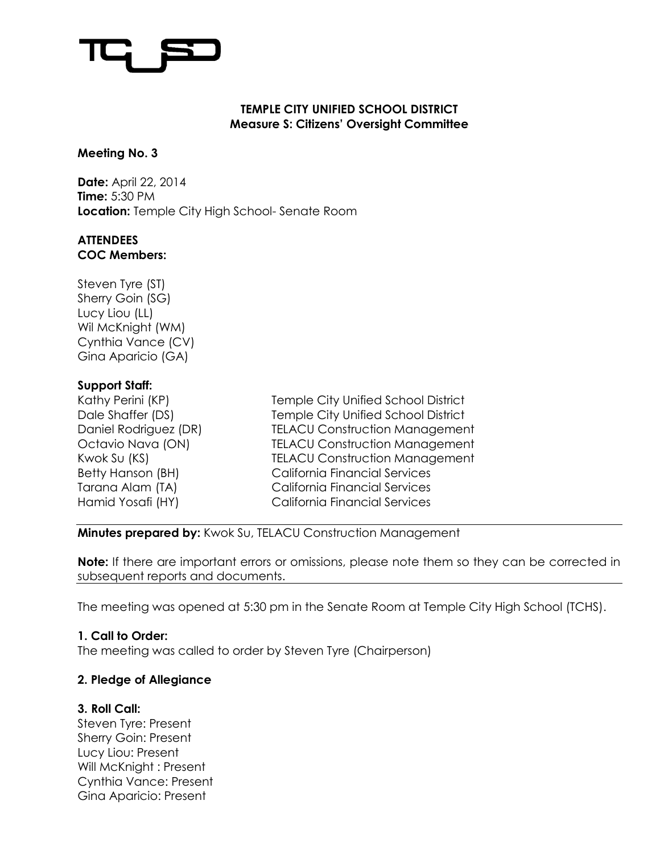#### **TEMPLE CITY UNIFIED SCHOOL DISTRICT Measure S: Citizens' Oversight Committee**

## **Meeting No. 3**

**Date:** April 22, 2014 **Time:** 5:30 PM **Location:** Temple City High School- Senate Room

## **ATTENDEES COC Members:**

Steven Tyre (ST) Sherry Goin (SG) Lucy Liou (LL) Wil McKnight (WM) Cynthia Vance (CV) Gina Aparicio (GA)

# **Support Staff:**

Kathy Perini (KP) Temple City Unified School District Dale Shaffer (DS) Temple City Unified School District Daniel Rodriguez (DR) TELACU Construction Management Octavio Nava (ON) TELACU Construction Management Kwok Su (KS) TELACU Construction Management Betty Hanson (BH) California Financial Services Tarana Alam (TA) California Financial Services Hamid Yosafi (HY) California Financial Services

**Minutes prepared by:** Kwok Su, TELACU Construction Management

**Note:** If there are important errors or omissions, please note them so they can be corrected in subsequent reports and documents.

The meeting was opened at 5:30 pm in the Senate Room at Temple City High School (TCHS).

# **1. Call to Order:**

The meeting was called to order by Steven Tyre (Chairperson)

# **2. Pledge of Allegiance**

# **3. Roll Call:**

Steven Tyre: Present Sherry Goin: Present Lucy Liou: Present Will McKnight : Present Cynthia Vance: Present Gina Aparicio: Present